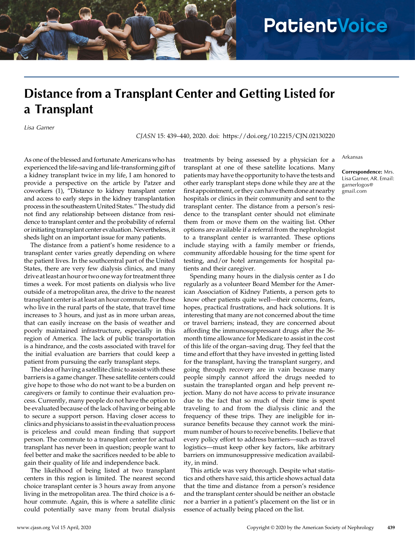## **PatientVoice**

## Distance from a Transplant Center and Getting Listed for a Transplant

Lisa Garner

CJASN 15: 439–440, 2020. doi:<https://doi.org/10.2215/CJN.02130220>

As one of the blessed and fortunate Americans who has experienced the life-saving and life-transforming gift of a kidney transplant twice in my life, I am honored to provide a perspective on the article by Patzer and coworkers (1), "Distance to kidney transplant center and access to early steps in the kidney transplantation process in the southeastern United States." The study did not find any relationship between distance from residence to transplant center and the probability of referral or initiating transplant center evaluation. Nevertheless, it sheds light on an important issue for many patients.

The distance from a patient's home residence to a transplant center varies greatly depending on where the patient lives. In the southcentral part of the United States, there are very few dialysis clinics, and many drive atleast an hour or two oneway for treatment three times a week. For most patients on dialysis who live outside of a metropolitan area, the drive to the nearest transplant center is at least an hour commute. For those who live in the rural parts of the state, that travel time increases to 3 hours, and just as in more urban areas, that can easily increase on the basis of weather and poorly maintained infrastructure, especially in this region of America. The lack of public transportation is a hindrance, and the costs associated with travel for the initial evaluation are barriers that could keep a patient from pursuing the early transplant steps.

The idea of having a satellite clinic to assist with these barriers is a game changer. These satellite centers could give hope to those who do not want to be a burden on caregivers or family to continue their evaluation process. Currently, many people do not have the option to be evaluated because of the lack of having or being able to secure a support person. Having closer access to clinics and physicians to assist in the evaluation process is priceless and could mean finding that support person. The commute to a transplant center for actual transplant has never been in question; people want to feel better and make the sacrifices needed to be able to gain their quality of life and independence back.

The likelihood of being listed at two transplant centers in this region is limited. The nearest second choice transplant center is 3 hours away from anyone living in the metropolitan area. The third choice is a 6 hour commute. Again, this is where a satellite clinic could potentially save many from brutal dialysis

treatments by being assessed by a physician for a transplant at one of these satellite locations. Many patients may have the opportunity to have the tests and other early transplant steps done while they are at the first appointment, or they can have them done at nearby hospitals or clinics in their community and sent to the transplant center. The distance from a person's residence to the transplant center should not eliminate them from or move them on the waiting list. Other options are available if a referral from the nephrologist to a transplant center is warranted. These options include staying with a family member or friends, community affordable housing for the time spent for testing, and/or hotel arrangements for hospital patients and their caregiver.

Spending many hours in the dialysis center as I do regularly as a volunteer Board Member for the American Association of Kidney Patients, a person gets to know other patients quite well—their concerns, fears, hopes, practical frustrations, and hack solutions. It is interesting that many are not concerned about the time or travel barriers; instead, they are concerned about affording the immunosuppressant drugs after the 36 month time allowance for Medicare to assist in the cost of this life of the organ–saving drug. They feel that the time and effort that they have invested in getting listed for the transplant, having the transplant surgery, and going through recovery are in vain because many people simply cannot afford the drugs needed to sustain the transplanted organ and help prevent rejection. Many do not have access to private insurance due to the fact that so much of their time is spent traveling to and from the dialysis clinic and the frequency of these trips. They are ineligible for insurance benefits because they cannot work the minimum number of hours to receive benefits. I believe that every policy effort to address barriers—such as travel logistics—must keep other key factors, like arbitrary barriers on immunosuppressive medication availability, in mind.

This article was very thorough. Despite what statistics and others have said, this article shows actual data that the time and distance from a person's residence and the transplant center should be neither an obstacle nor a barrier in a patient's placement on the list or in essence of actually being placed on the list.

Arkansas

Correspondence: Mrs. Lisa Garner, AR. Email: [garnerlogos@](mailto:garnerlogos@gmail.com) [gmail.com](mailto:garnerlogos@gmail.com)